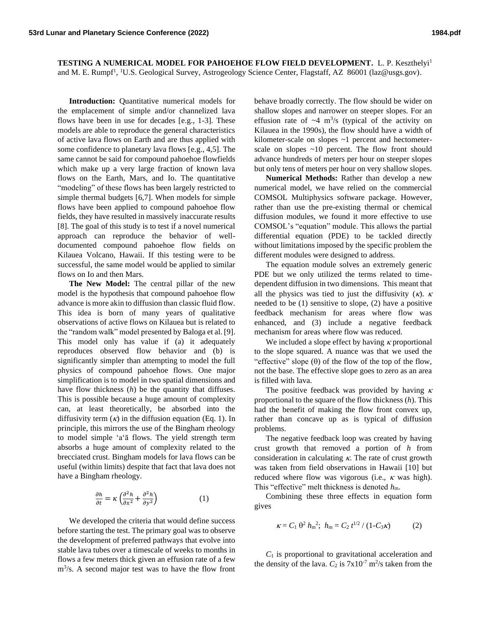**TESTING A NUMERICAL MODEL FOR PAHOEHOE FLOW FIELD DEVELOPMENT.** L. P. Keszthelyi<sup>1</sup> and M. E. Rumpf<sup>1</sup>, <sup>1</sup>U.S. Geological Survey, Astrogeology Science Center, Flagstaff, AZ 86001 (laz@usgs.gov).

**Introduction:** Quantitative numerical models for the emplacement of simple and/or channelized lava flows have been in use for decades [e.g., 1-3]. These models are able to reproduce the general characteristics of active lava flows on Earth and are thus applied with some confidence to planetary lava flows [e.g., 4,5]. The same cannot be said for compound pahoehoe flowfields which make up a very large fraction of known lava flows on the Earth, Mars, and Io. The quantitative "modeling" of these flows has been largely restricted to simple thermal budgets [6,7]. When models for simple flows have been applied to compound pahoehoe flow fields, they have resulted in massively inaccurate results [8]. The goal of this study is to test if a novel numerical approach can reproduce the behavior of welldocumented compound pahoehoe flow fields on Kilauea Volcano, Hawaii. If this testing were to be successful, the same model would be applied to similar flows on Io and then Mars.

**The New Model:** The central pillar of the new model is the hypothesis that compound pahoehoe flow advance is more akin to diffusion than classic fluid flow. This idea is born of many years of qualitative observations of active flows on Kilauea but is related to the "random walk" model presented by Baloga et al. [9]. This model only has value if (a) it adequately reproduces observed flow behavior and (b) is significantly simpler than attempting to model the full physics of compound pahoehoe flows. One major simplification is to model in two spatial dimensions and have flow thickness (*h*) be the quantity that diffuses. This is possible because a huge amount of complexity can, at least theoretically, be absorbed into the diffusivity term  $(\kappa)$  in the diffusion equation (Eq. 1). In principle, this mirrors the use of the Bingham rheology to model simple ʻaʻā flows. The yield strength term absorbs a huge amount of complexity related to the brecciated crust. Bingham models for lava flows can be useful (within limits) despite that fact that lava does not have a Bingham rheology.

$$
\frac{\partial h}{\partial t} = \kappa \left( \frac{\partial^2 h}{\partial x^2} + \frac{\partial^2 h}{\partial y^2} \right) \tag{1}
$$

We developed the criteria that would define success before starting the test. The primary goal was to observe the development of preferred pathways that evolve into stable lava tubes over a timescale of weeks to months in flows a few meters thick given an effusion rate of a few m<sup>3</sup>/s. A second major test was to have the flow front behave broadly correctly. The flow should be wider on shallow slopes and narrower on steeper slopes. For an effusion rate of  $\sim$ 4 m<sup>3</sup>/s (typical of the activity on Kilauea in the 1990s), the flow should have a width of kilometer-scale on slopes ~1 percent and hectometerscale on slopes ~10 percent. The flow front should advance hundreds of meters per hour on steeper slopes but only tens of meters per hour on very shallow slopes.

**Numerical Methods:** Rather than develop a new numerical model, we have relied on the commercial COMSOL Multiphysics software package. However, rather than use the pre-existing thermal or chemical diffusion modules, we found it more effective to use COMSOL's "equation" module. This allows the partial differential equation (PDE) to be tackled directly without limitations imposed by the specific problem the different modules were designed to address.

The equation module solves an extremely generic PDE but we only utilized the terms related to timedependent diffusion in two dimensions. This meant that all the physics was tied to just the diffusivity  $(\kappa)$ .  $\kappa$ needed to be (1) sensitive to slope, (2) have a positive feedback mechanism for areas where flow was enhanced, and (3) include a negative feedback mechanism for areas where flow was reduced.

We included a slope effect by having  $\kappa$  proportional to the slope squared. A nuance was that we used the "effective" slope  $(\theta)$  of the flow of the top of the flow, not the base. The effective slope goes to zero as an area is filled with lava.

The positive feedback was provided by having  $\kappa$ proportional to the square of the flow thickness (*h*). This had the benefit of making the flow front convex up, rather than concave up as is typical of diffusion problems.

The negative feedback loop was created by having crust growth that removed a portion of *h* from consideration in calculating  $\kappa$ . The rate of crust growth was taken from field observations in Hawaii [10] but reduced where flow was vigorous (i.e.,  $\kappa$  was high). This "effective" melt thickness is denoted *h*m.

Combining these three effects in equation form gives

$$
\kappa = C_1 \; \theta^2 \; h_m^2; \; h_m = C_2 \; t^{1/2} \; / \; (1 - C_3 \kappa) \; \tag{2}
$$

 $C_1$  is proportional to gravitational acceleration and the density of the lava.  $C_2$  is  $7 \times 10^{-7}$  m<sup>2</sup>/s taken from the